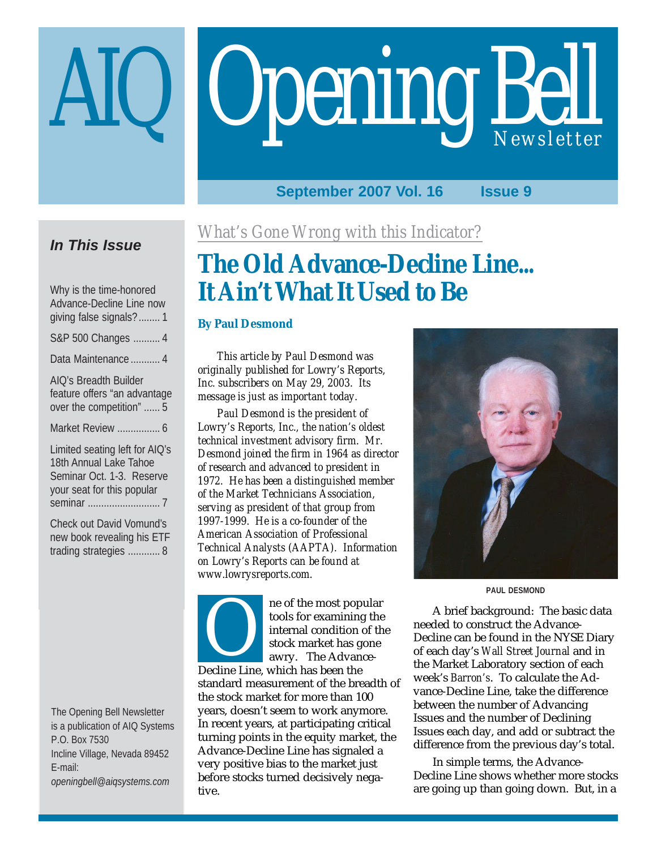# Opening Bell

#### **September 2007 Vol. 16 Issue 9**

## **In This Issue**

Why is the time-honored Advance-Decline Line now giving false signals?........ 1

S&P 500 Changes .......... 4

Data Maintenance ........... 4

AIQ's Breadth Builder feature offers "an advantage over the competition" ...... 5

Market Review ................ 6

Limited seating left for AIQ's 18th Annual Lake Tahoe Seminar Oct. 1-3. Reserve your seat for this popular seminar ........................... 7

Check out David Vomund's new book revealing his ETF trading strategies ............ 8

The Opening Bell Newsletter is a publication of AIQ Systems P.O. Box 7530 Incline Village, Nevada 89452 E-mail: *openingbell@aiqsystems.com*

*What's Gone Wrong with this Indicator?*

# **The Old Advance-Decline Line... It Ain't What It Used to Be**

#### **By Paul Desmond**

*This article by Paul Desmond was originally published for Lowry's Reports, Inc. subscribers on May 29, 2003. Its message is just as important today.*

*Paul Desmond is the president of Lowry's Reports, Inc., the nation's oldest technical investment advisory firm. Mr. Desmond joined the firm in 1964 as director of research and advanced to president in 1972. He has been a distinguished member of the Market Technicians Association, serving as president of that group from 1997-1999. He is a co-founder of the American Association of Professional Technical Analysts (AAPTA). Information on Lowry's Reports can be found at www.lowrysreports.com.*

ne of the most popular France Comparison tools for examining<br>
internal condition<br>
stock market has g<br>
awry. The Advan<br>
Decline Line, which has been the

tools for examining the internal condition of the stock market has gone awry. The Advance-

standard measurement of the breadth of the stock market for more than 100 years, doesn't seem to work anymore. In recent years, at participating critical turning points in the equity market, the Advance-Decline Line has signaled a very positive bias to the market just before stocks turned decisively negative.



**PAUL DESMOND**

A brief background: The basic data needed to construct the Advance-Decline can be found in the NYSE Diary of each day's *Wall Street Journal* and in the Market Laboratory section of each week's *Barron's*. To calculate the Advance-Decline Line, take the difference between the number of Advancing Issues and the number of Declining Issues each day, and add or subtract the difference from the previous day's total.

In simple terms, the Advance-Decline Line shows whether more stocks are going up than going down. But, in a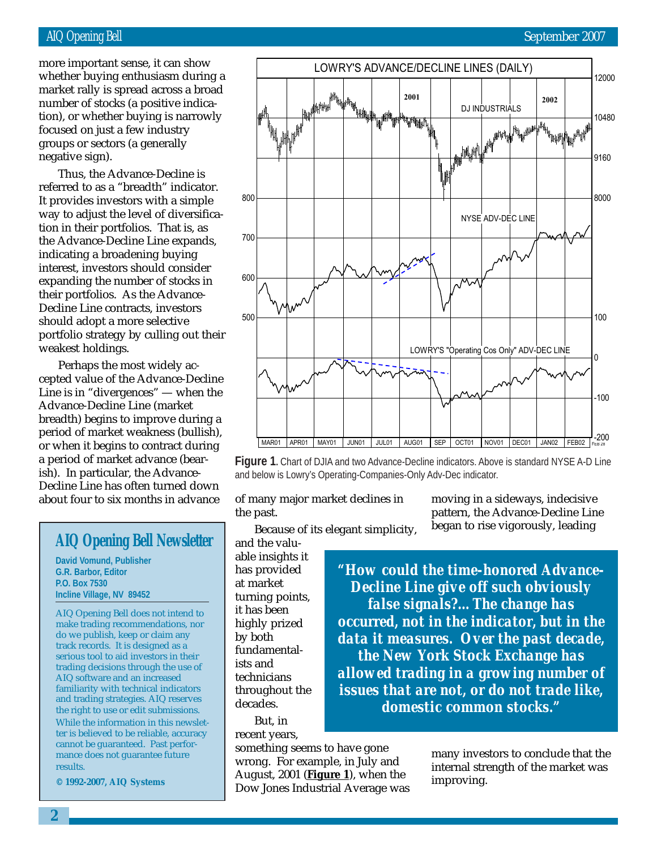#### AIQ Opening Bell September 2007

number of stocks (a positive indicamore important sense, it can show whether buying enthusiasm during a market rally is spread across a broad tion), or whether buying is narrowly focused on just a few industry groups or sectors (a generally negative sign).

Thus, the Advance-Decline is referred to as a "breadth" indicator. It provides investors with a simple way to adjust the level of diversification in their portfolios. That is, as the Advance-Decline Line expands, indicating a broadening buying interest, investors should consider expanding the number of stocks in their portfolios. As the Advance-Decline Line contracts, investors should adopt a more selective portfolio strategy by culling out their weakest holdings.

Perhaps the most widely accepted value of the Advance-Decline Line is in "divergences" — when the Advance-Decline Line (market breadth) begins to improve during a period of market weakness (bullish), or when it begins to contract during a period of market advance (bearish). In particular, the Advance-Decline Line has often turned down about four to six months in advance of many major market declines in

### **AIQ Opening Bell Newsletter**

**David Vomund, Publisher G.R. Barbor, Editor P.O. Box 7530 Incline Village, NV 89452**

AIQ Opening Bell does not intend to make trading recommendations, nor do we publish, keep or claim any track records. It is designed as a serious tool to aid investors in their trading decisions through the use of AIQ software and an increased familiarity with technical indicators and trading strategies. AIQ reserves the right to use or edit submissions. While the information in this newsletter is believed to be reliable, accuracy cannot be guaranteed. Past performance does not guarantee future results.

**© 1992-2007, AIQ Systems**



**Figure 1.** Chart of DJIA and two Advance-Decline indicators. Above is standard NYSE A-D Line and below is Lowry's Operating-Companies-Only Adv-Dec indicator.

the past.

moving in a sideways, indecisive pattern, the Advance-Decline Line began to rise vigorously, leading

Because of its elegant simplicity,

and the valuable insights it has provided at market turning points, it has been highly prized by both fundamentalists and technicians throughout the decades.

But, in recent years,

something seems to have gone wrong. For example, in July and August, 2001 (**Figure 1**), when the Dow Jones Industrial Average was

*"How could the time-honored Advance-Decline Line give off such obviously false signals?…The change has occurred, not in the indicator, but in the data it measures. Over the past decade, the New York Stock Exchange has allowed trading in a growing number of issues that are not, or do not trade like, domestic common stocks."*

> many investors to conclude that the internal strength of the market was improving.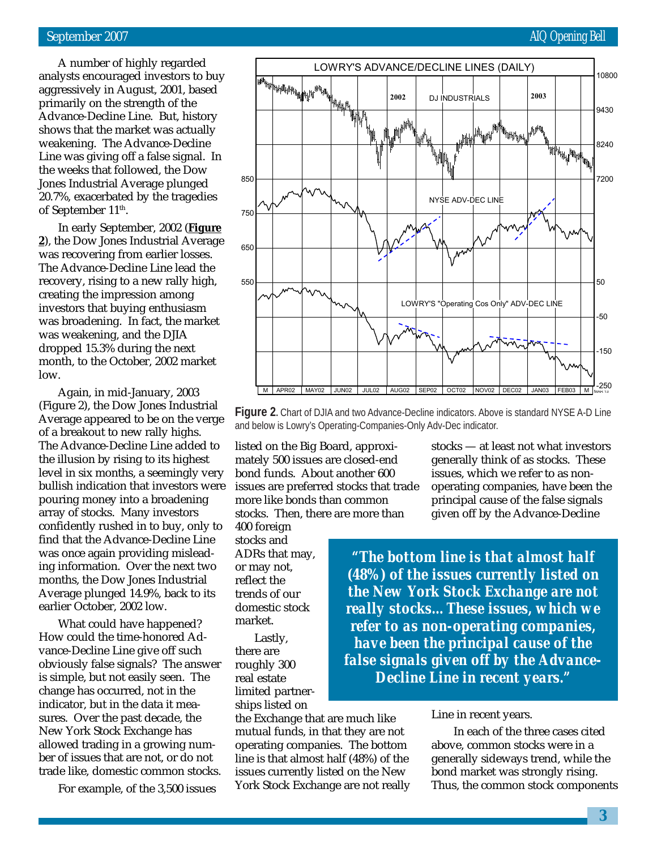#### September 2007 AIQ Opening Bell

A number of highly regarded analysts encouraged investors to buy aggressively in August, 2001, based primarily on the strength of the Advance-Decline Line. But, history shows that the market was actually weakening. The Advance-Decline Line was giving off a false signal. In the weeks that followed, the Dow Jones Industrial Average plunged 20.7%, exacerbated by the tragedies of September 11<sup>th</sup>.

In early September, 2002 (**Figure 2**), the Dow Jones Industrial Average was recovering from earlier losses. The Advance-Decline Line lead the recovery, rising to a new rally high, creating the impression among investors that buying enthusiasm was broadening. In fact, the market was weakening, and the DJIA dropped 15.3% during the next month, to the October, 2002 market low.

Again, in mid-January, 2003 (Figure 2), the Dow Jones Industrial Average appeared to be on the verge of a breakout to new rally highs. The Advance-Decline Line added to the illusion by rising to its highest level in six months, a seemingly very bullish indication that investors were pouring money into a broadening array of stocks. Many investors confidently rushed in to buy, only to find that the Advance-Decline Line was once again providing misleading information. Over the next two months, the Dow Jones Industrial Average plunged 14.9%, back to its earlier October, 2002 low.

What could have happened? How could the time-honored Advance-Decline Line give off such obviously false signals? The answer is simple, but not easily seen. The change has occurred, not in the indicator, but in the data it measures. Over the past decade, the New York Stock Exchange has allowed trading in a growing number of issues that are not, or do not trade like, domestic common stocks.

For example, of the 3,500 issues



**Figure 2.** Chart of DJIA and two Advance-Decline indicators. Above is standard NYSE A-D Line and below is Lowry's Operating-Companies-Only Adv-Dec indicator.

listed on the Big Board, approximately 500 issues are closed-end bond funds. About another 600 issues are preferred stocks that trade more like bonds than common stocks. Then, there are more than

400 foreign stocks and ADRs that may, or may not, reflect the trends of our domestic stock market.

Lastly, there are roughly 300 real estate limited partnerships listed on

the Exchange that are much like mutual funds, in that they are not operating companies. The bottom line is that almost half (48%) of the issues currently listed on the New York Stock Exchange are not really

stocks — at least not what investors generally think of as stocks. These issues, which we refer to as nonoperating companies, have been the principal cause of the false signals given off by the Advance-Decline

*"The bottom line is that almost half (48%) of the issues currently listed on the New York Stock Exchange are not really stocks…These issues, which we refer to as non-operating companies, have been the principal cause of the false signals given off by the Advance-Decline Line in recent years."*

#### Line in recent years.

 In each of the three cases cited above, common stocks were in a generally sideways trend, while the bond market was strongly rising. Thus, the common stock components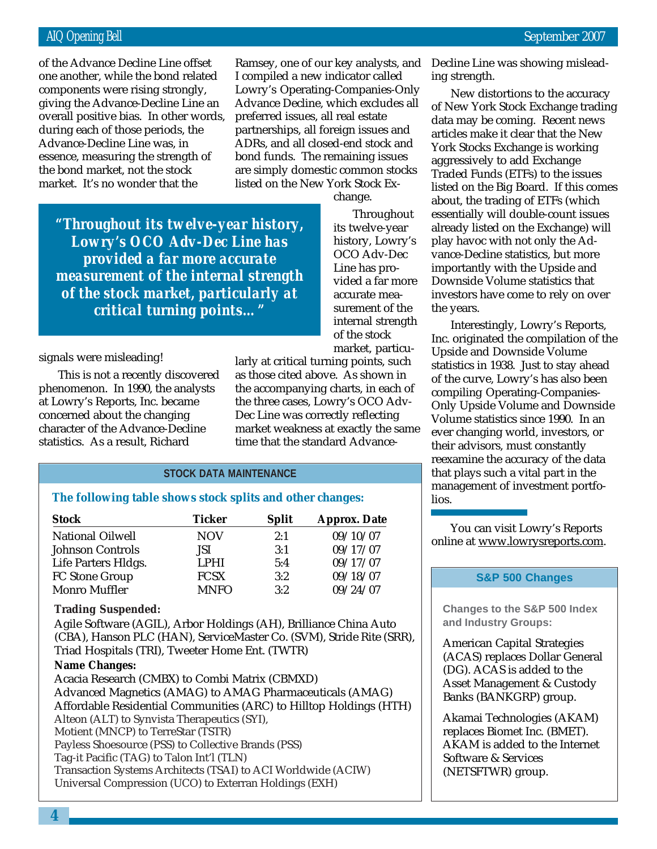giving the Advance-Decline Line an of the Advance Decline Line offset one another, while the bond related components were rising strongly, overall positive bias. In other words, during each of those periods, the Advance-Decline Line was, in essence, measuring the strength of the bond market, not the stock market. It's no wonder that the

Ramsey, one of our key analysts, and Decline Line was showing mislead-I compiled a new indicator called Lowry's Operating-Companies-Only Advance Decline, which excludes all preferred issues, all real estate partnerships, all foreign issues and ADRs, and all closed-end stock and bond funds. The remaining issues are simply domestic common stocks listed on the New York Stock Ex-

change.

Throughout its twelve-year history, Lowry's OCO Adv-Dec Line has provided a far more accurate measurement of the internal strength of the stock

*"Throughout its twelve-year history, Lowry's OCO Adv-Dec Line has provided a far more accurate measurement of the internal strength of the stock market, particularly at critical turning points…"*

signals were misleading!

This is not a recently discovered phenomenon. In 1990, the analysts at Lowry's Reports, Inc. became concerned about the changing character of the Advance-Decline statistics. As a result, Richard

market, particularly at critical turning points, such as those cited above. As shown in the accompanying charts, in each of the three cases, Lowry's OCO Adv-Dec Line was correctly reflecting market weakness at exactly the same time that the standard Advance-

#### **STOCK DATA MAINTENANCE**

#### **The following table shows stock splits and other changes:**

| <b>Stock</b>            | <b>Ticker</b>     | <b>Split</b> | <b>Approx. Date</b> |  |
|-------------------------|-------------------|--------------|---------------------|--|
| <b>National Oilwell</b> | <b>NOV</b>        | 2:1          | 09/10/07            |  |
| <b>Johnson Controls</b> | JSI               | 3:1          | 09/17/07            |  |
| Life Parters Hldgs.     | LPHI <sup>1</sup> | 5:4          | 09/17/07            |  |
| FC Stone Group          | <b>FCSX</b>       | 3:2          | 09/18/07            |  |
| <b>Monro Muffler</b>    | <b>MNFO</b>       | 3:2          | 09/24/07            |  |

#### **Trading Suspended:**

Agile Software (AGIL), Arbor Holdings (AH), Brilliance China Auto (CBA), Hanson PLC (HAN), ServiceMaster Co. (SVM), Stride Rite (SRR), Triad Hospitals (TRI), Tweeter Home Ent. (TWTR)

#### **Name Changes:**

Acacia Research (CMBX) to Combi Matrix (CBMXD) Advanced Magnetics (AMAG) to AMAG Pharmaceuticals (AMAG) Affordable Residential Communities (ARC) to Hilltop Holdings (HTH) Alteon (ALT) to Synvista Therapeutics (SYI), Motient (MNCP) to TerreStar (TSTR) Payless Shoesource (PSS) to Collective Brands (PSS) Tag-it Pacific (TAG) to Talon Int'l (TLN) Transaction Systems Architects (TSAI) to ACI Worldwide (ACIW) Universal Compression (UCO) to Exterran Holdings (EXH)

ing strength.

New distortions to the accuracy of New York Stock Exchange trading data may be coming. Recent news articles make it clear that the New York Stocks Exchange is working aggressively to add Exchange Traded Funds (ETFs) to the issues listed on the Big Board. If this comes about, the trading of ETFs (which essentially will double-count issues already listed on the Exchange) will play havoc with not only the Advance-Decline statistics, but more importantly with the Upside and Downside Volume statistics that investors have come to rely on over the years.

Interestingly, Lowry's Reports, Inc. originated the compilation of the Upside and Downside Volume statistics in 1938. Just to stay ahead of the curve, Lowry's has also been compiling Operating-Companies-Only Upside Volume and Downside Volume statistics since 1990. In an ever changing world, investors, or their advisors, must constantly reexamine the accuracy of the data that plays such a vital part in the management of investment portfolios.

You can visit Lowry's Reports online at www.lowrysreports.com.

#### **S&P 500 Changes**

**Changes to the S&P 500 Index and Industry Groups:**

American Capital Strategies (ACAS) replaces Dollar General (DG). ACAS is added to the Asset Management & Custody Banks (BANKGRP) group.

Akamai Technologies (AKAM) replaces Biomet Inc. (BMET). AKAM is added to the Internet Software & Services (NETSFTWR) group.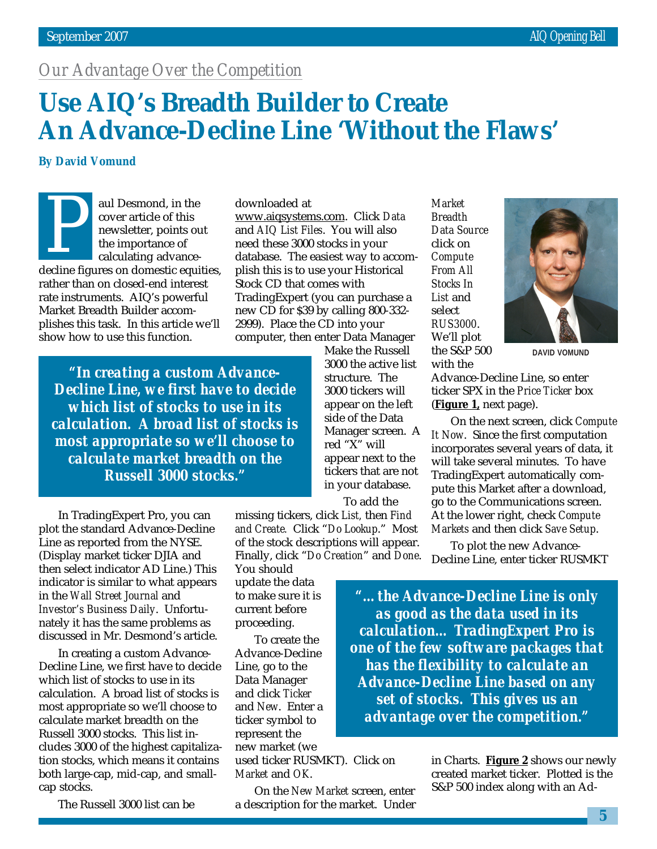# *Our Advantage Over the Competition*

# **Use AIQ's Breadth Builder to Create An Advance-Decline Line 'Without the Flaws'**

#### **By David Vomund**

aul Desmond, in the cover article of this newsletter, points out the importance of calculating advanceauf Desmond, in the<br>
cover article of this<br>
newsletter, points out<br>
the importance of<br>
calculating advance-<br>
decline figures on domestic equities, rather than on closed-end interest rate instruments. AIQ's powerful Market Breadth Builder accomplishes this task. In this article we'll show how to use this function.

downloaded at www.aiqsystems.com. Click *Data* and *AIQ List Files*. You will also need these 3000 stocks in your database. The easiest way to accomplish this is to use your Historical Stock CD that comes with TradingExpert (you can purchase a new CD for \$39 by calling 800-332- 2999). Place the CD into your computer, then enter Data Manager

*"In creating a custom Advance-Decline Line, we first have to decide which list of stocks to use in its calculation. A broad list of stocks is most appropriate so we'll choose to calculate market breadth on the Russell 3000 stocks."*

In TradingExpert Pro, you can plot the standard Advance-Decline Line as reported from the NYSE. (Display market ticker DJIA and then select indicator AD Line.) This indicator is similar to what appears in the *Wall Street Journal* and *Investor's Business Daily*. Unfortunately it has the same problems as discussed in Mr. Desmond's article.

In creating a custom Advance-Decline Line, we first have to decide which list of stocks to use in its calculation. A broad list of stocks is most appropriate so we'll choose to calculate market breadth on the Russell 3000 stocks. This list includes 3000 of the highest capitalization stocks, which means it contains both large-cap, mid-cap, and smallcap stocks.

The Russell 3000 list can be

Make the Russell 3000 the active list structure. The 3000 tickers will appear on the left side of the Data Manager screen. A red "X" will appear next to the tickers that are not in your database. To add the

missing tickers, click *List,* then *Find and Create.* Click "*Do Lookup*." Most of the stock descriptions will appear. Finally, click "*Do Creation*" and *Done*.

You should update the data to make sure it is current before proceeding.

To create the Advance-Decline Line, go to the Data Manager and click *Ticker* and *New*. Enter a ticker symbol to represent the new market (we

used ticker RUSMKT). Click on *Market* and *OK*.

On the *New Market* screen, enter a description for the market. Under

*Market Breadth Data Source* click on *Compute From All Stocks In List* and select *RUS3000*. We'll plot the S&P 500 with the



**DAVID VOMUND**

Advance-Decline Line, so enter ticker SPX in the *Price Ticker* box (**Figure 1,** next page).

On the next screen, click *Compute It Now*. Since the first computation incorporates several years of data, it will take several minutes. To have TradingExpert automatically compute this Market after a download, go to the Communications screen. At the lower right, check *Compute Markets* and then click *Save Setup*.

To plot the new Advance-Decline Line, enter ticker RUSMKT

*"…the Advance-Decline Line is only as good as the data used in its calculation… TradingExpert Pro is one of the few software packages that has the flexibility to calculate an Advance-Decline Line based on any set of stocks. This gives us an advantage over the competition."*

> in Charts. **Figure 2** shows our newly created market ticker. Plotted is the S&P 500 index along with an Ad-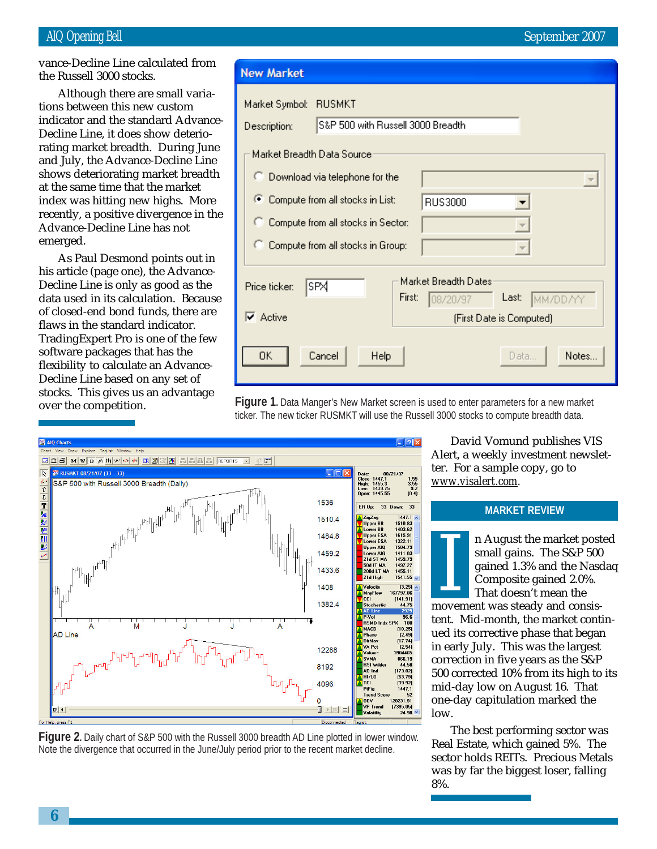vance-Decline Line calculated from the Russell 3000 stocks.

tions between this new custom Although there are small variaindicator and the standard Advance-Decline Line, it does show deteriorating market breadth. During June and July, the Advance-Decline Line shows deteriorating market breadth at the same time that the market index was hitting new highs. More recently, a positive divergence in the Advance-Decline Line has not emerged.

As Paul Desmond points out in his article (page one), the Advance-Decline Line is only as good as the data used in its calculation. Because of closed-end bond funds, there are flaws in the standard indicator. TradingExpert Pro is one of the few software packages that has the flexibility to calculate an Advance-Decline Line based on any set of stocks. This gives us an advantage over the competition.

#### **New Market**

| Market Symbol:<br>Description:                                 | RUSMKT<br>S&P 500 with Russell 3000 Breadth                                                                 |        |                                   |                                               |       |  |
|----------------------------------------------------------------|-------------------------------------------------------------------------------------------------------------|--------|-----------------------------------|-----------------------------------------------|-------|--|
| Market Breadth Data Source<br>C Download via telephone for the |                                                                                                             |        |                                   |                                               |       |  |
| œ<br>C.                                                        | Compute from all stocks in List:<br>Compute from all stocks in Sector:<br>Compute from all stocks in Group: |        | RUS3000                           | $\overline{\phantom{a}}$                      |       |  |
| Price ticker:<br>$\nabla$ Active                               | SPX                                                                                                         | First: | Market Breadth Dates:<br>08/20/97 | Last:<br>MM/DD/YY<br>(First Date is Computed) |       |  |
| OΚ                                                             | Cancel<br>Help                                                                                              |        |                                   | Data                                          | Notes |  |

**Figure 1.** Data Manger's New Market screen is used to enter parameters for a new market ticker. The new ticker RUSMKT will use the Russell 3000 stocks to compute breadth data.



**Figure 2.** Daily chart of S&P 500 with the Russell 3000 breadth AD Line plotted in lower window. Note the divergence that occurred in the June/July period prior to the recent market decline.

David Vomund publishes VIS Alert, a weekly investment newsletter. For a sample copy, go to *www.visalert.com.*

#### **MARKET REVIEW**

If August the market post<br>
small gains. The S&P 500<br>
gained 1.3% and the Nasc<br>
Composite gained 2.0%.<br>
That doesn't mean the<br>
movement was steady and consisn August the market posted small gains. The S&P 500 gained 1.3% and the Nasdaq Composite gained 2.0%. That doesn't mean the

tent. Mid-month, the market continued its corrective phase that began in early July. This was the largest correction in five years as the S&P 500 corrected 10% from its high to its mid-day low on August 16. That one-day capitulation marked the low.

The best performing sector was Real Estate, which gained 5%. The sector holds REITs. Precious Metals was by far the biggest loser, falling 8%.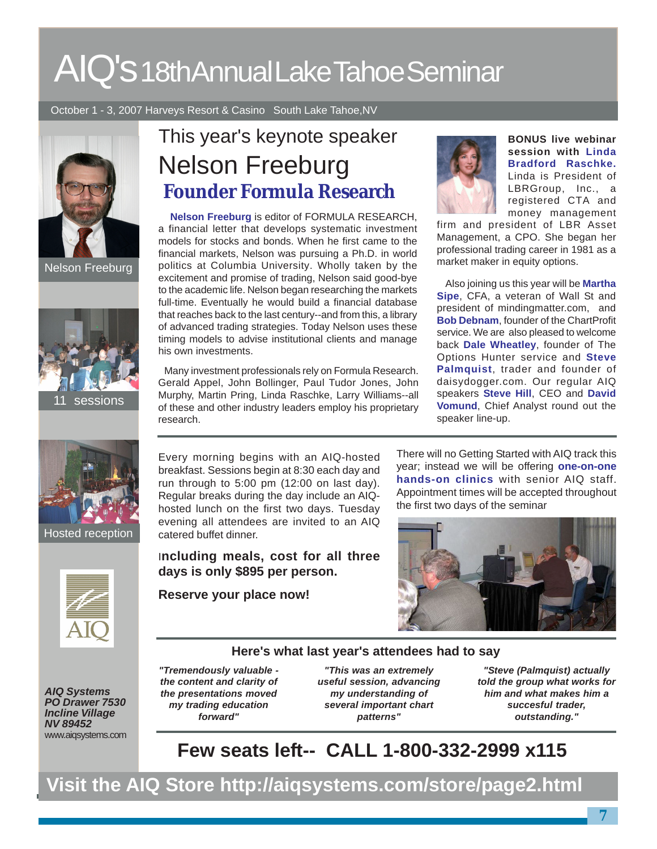# AIQ's 18th Annual Lake Tahoe Seminar

October 1 - 3, 2007 Harveys Resort & Casino South Lake Tahoe,NV





**Hosted reception** 



Nelson Freeburg **Founder Formula Research** This year's keynote speaker

 **Nelson Freeburg** is editor of FORMULA RESEARCH, a financial letter that develops systematic investment models for stocks and bonds. When he first came to the financial markets, Nelson was pursuing a Ph.D. in world Nelson Freeburg politics at Columbia University. Wholly taken by the market maker in equity options. excitement and promise of trading, Nelson said good-bye to the academic life. Nelson began researching the markets full-time. Eventually he would build a financial database that reaches back to the last century--and from this, a library of advanced trading strategies. Today Nelson uses these timing models to advise institutional clients and manage his own investments.

> Many investment professionals rely on Formula Research. Gerald Appel, John Bollinger, Paul Tudor Jones, John Murphy, Martin Pring, Linda Raschke, Larry Williams--all of these and other industry leaders employ his proprietary research.

**BONUS live webinar session with Linda Bradford Raschke.** Linda is President of LBRGroup, Inc., a registered CTA and money management

firm and president of LBR Asset Management, a CPO. She began her professional trading career in 1981 as a

 Also joining us this year will be **Martha Sipe**, CFA, a veteran of Wall St and president of mindingmatter.com, and **Bob Debnam**, founder of the ChartProfit service. We are also pleased to welcome back **Dale Wheatley**, founder of The Options Hunter service and **Steve Palmquist**, trader and founder of daisydogger.com. Our regular AIQ speakers **Steve Hill**, CEO and **David Vomund**, Chief Analyst round out the speaker line-up.

Every morning begins with an AIQ-hosted breakfast. Sessions begin at 8:30 each day and run through to 5:00 pm (12:00 on last day). Regular breaks during the day include an AIQhosted lunch on the first two days. Tuesday evening all attendees are invited to an AIQ catered buffet dinner.

I**ncluding meals, cost for all three days is only \$895 per person.**

**Reserve your place now!**

There will no Getting Started with AIQ track this year; instead we will be offering **one-on-one hands-on clinics** with senior AIQ staff. Appointment times will be accepted throughout the first two days of the seminar



#### **Here's what last year's attendees had to say**

**AIQ Systems PO Drawer 7530 Incline Village NV 89452** www.aiqsystems.com **"Tremendously valuable the content and clarity of the presentations moved my trading education forward"**

**"This was an extremely useful session, advancing my understanding of several important chart patterns"**

**"Steve (Palmquist) actually told the group what works for him and what makes him a succesful trader, outstanding."**

# **Few seats left-- CALL 1-800-332-2999 x115**

**Visit the AIQ Store http://aiqsystems.com/store/page2.html**